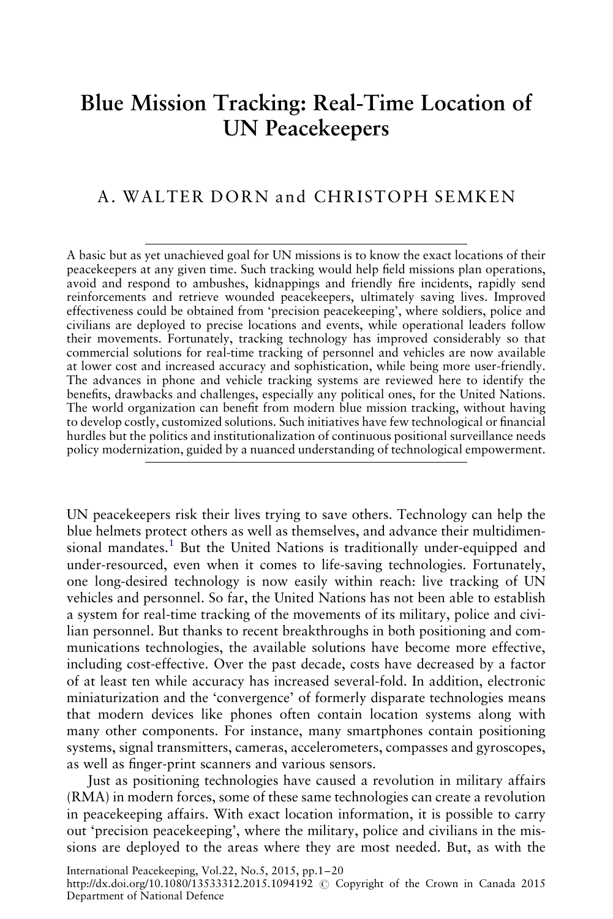# Blue Mission Tracking: Real-Time Location of UN Peacekeepers

# A. WALTER DORN and CHRISTOPH SEMKEN

A basic but as yet unachieved goal for UN missions is to know the exact locations of their peacekeepers at any given time. Such tracking would help field missions plan operations, avoid and respond to ambushes, kidnappings and friendly fire incidents, rapidly send reinforcements and retrieve wounded peacekeepers, ultimately saving lives. Improved effectiveness could be obtained from 'precision peacekeeping', where soldiers, police and civilians are deployed to precise locations and events, while operational leaders follow their movements. Fortunately, tracking technology has improved considerably so that commercial solutions for real-time tracking of personnel and vehicles are now available at lower cost and increased accuracy and sophistication, while being more user-friendly. The advances in phone and vehicle tracking systems are reviewed here to identify the benefits, drawbacks and challenges, especially any political ones, for the United Nations. The world organization can benefit from modern blue mission tracking, without having to develop costly, customized solutions. Such initiatives have few technological or financial hurdles but the politics and institutionalization of continuous positional surveillance needs policy modernization, guided by a nuanced understanding of technological empowerment.

UN peacekeepers risk their lives trying to save others. Technology can help the blue helmets protect others as well as themselves, and advance their multidimen-sional mandates.<sup>[1](#page-16-0)</sup> But the United Nations is traditionally under-equipped and under-resourced, even when it comes to life-saving technologies. Fortunately, one long-desired technology is now easily within reach: live tracking of UN vehicles and personnel. So far, the United Nations has not been able to establish a system for real-time tracking of the movements of its military, police and civilian personnel. But thanks to recent breakthroughs in both positioning and communications technologies, the available solutions have become more effective, including cost-effective. Over the past decade, costs have decreased by a factor of at least ten while accuracy has increased several-fold. In addition, electronic miniaturization and the 'convergence' of formerly disparate technologies means that modern devices like phones often contain location systems along with many other components. For instance, many smartphones contain positioning systems, signal transmitters, cameras, accelerometers, compasses and gyroscopes, as well as finger-print scanners and various sensors.

Just as positioning technologies have caused a revolution in military affairs (RMA) in modern forces, some of these same technologies can create a revolution in peacekeeping affairs. With exact location information, it is possible to carry out 'precision peacekeeping', where the military, police and civilians in the missions are deployed to the areas where they are most needed. But, as with the

International Peacekeeping, Vol.22, No.5, 2015, pp.1–20

http://dx.doi.org/10.1080/13533312.2015.1094192  $\odot$  Copyright of the Crown in Canada 2015 Department of National Defence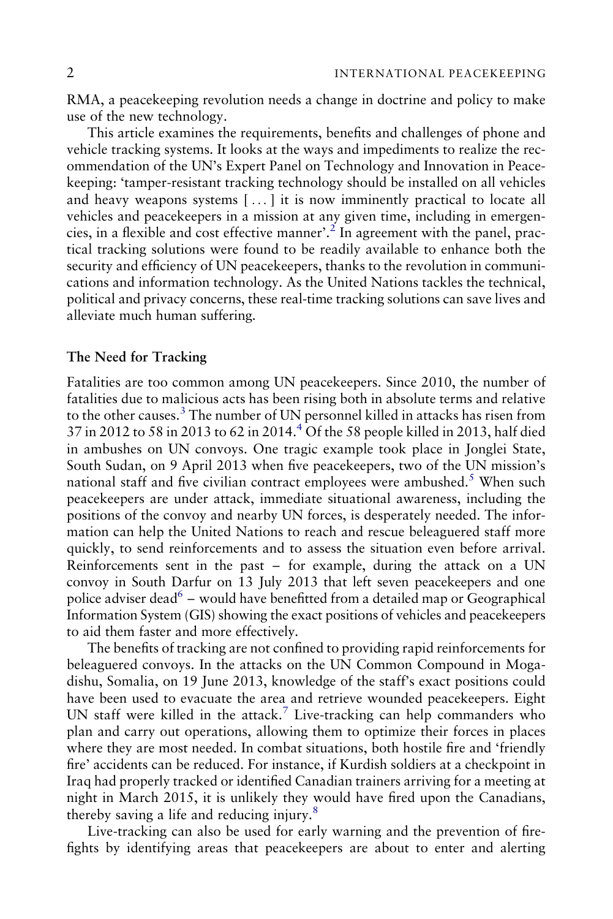RMA, a peacekeeping revolution needs a change in doctrine and policy to make use of the new technology.

This article examines the requirements, benefits and challenges of phone and vehicle tracking systems. It looks at the ways and impediments to realize the recommendation of the UN's Expert Panel on Technology and Innovation in Peacekeeping: 'tamper-resistant tracking technology should be installed on all vehicles and heavy weapons systems [ ... ] it is now imminently practical to locate all vehicles and peacekeepers in a mission at any given time, including in emergen-cies, in a flexible and cost effective manner'.<sup>[2](#page-16-0)</sup> In agreement with the panel, practical tracking solutions were found to be readily available to enhance both the security and efficiency of UN peacekeepers, thanks to the revolution in communications and information technology. As the United Nations tackles the technical, political and privacy concerns, these real-time tracking solutions can save lives and alleviate much human suffering.

### The Need for Tracking

Fatalities are too common among UN peacekeepers. Since 2010, the number of fatalities due to malicious acts has been rising both in absolute terms and relative to the other causes.<sup>[3](#page-16-0)</sup> The number of UN personnel killed in attacks has risen from  $37$  in 2012 to 58 in 2013 to 62 in 201[4](#page-16-0).<sup>4</sup> Of the 58 people killed in 2013, half died in ambushes on UN convoys. One tragic example took place in Jonglei State, South Sudan, on 9 April 2013 when five peacekeepers, two of the UN mission's national staff and five civilian contract employees were ambushed.<sup>[5](#page-16-0)</sup> When such peacekeepers are under attack, immediate situational awareness, including the positions of the convoy and nearby UN forces, is desperately needed. The information can help the United Nations to reach and rescue beleaguered staff more quickly, to send reinforcements and to assess the situation even before arrival. Reinforcements sent in the past – for example, during the attack on a UN convoy in South Darfur on 13 July 2013 that left seven peacekeepers and one police adviser dead $6$  – would have benefitted from a detailed map or Geographical Information System (GIS) showing the exact positions of vehicles and peacekeepers to aid them faster and more effectively.

The benefits of tracking are not confined to providing rapid reinforcements for beleaguered convoys. In the attacks on the UN Common Compound in Mogadishu, Somalia, on 19 June 2013, knowledge of the staff's exact positions could have been used to evacuate the area and retrieve wounded peacekeepers. Eight UN staff were killed in the attack.<sup>[7](#page-16-0)</sup> Live-tracking can help commanders who plan and carry out operations, allowing them to optimize their forces in places where they are most needed. In combat situations, both hostile fire and 'friendly fire' accidents can be reduced. For instance, if Kurdish soldiers at a checkpoint in Iraq had properly tracked or identified Canadian trainers arriving for a meeting at night in March 2015, it is unlikely they would have fired upon the Canadians, thereby saving a life and reducing injury.[8](#page-16-0)

Live-tracking can also be used for early warning and the prevention of firefights by identifying areas that peacekeepers are about to enter and alerting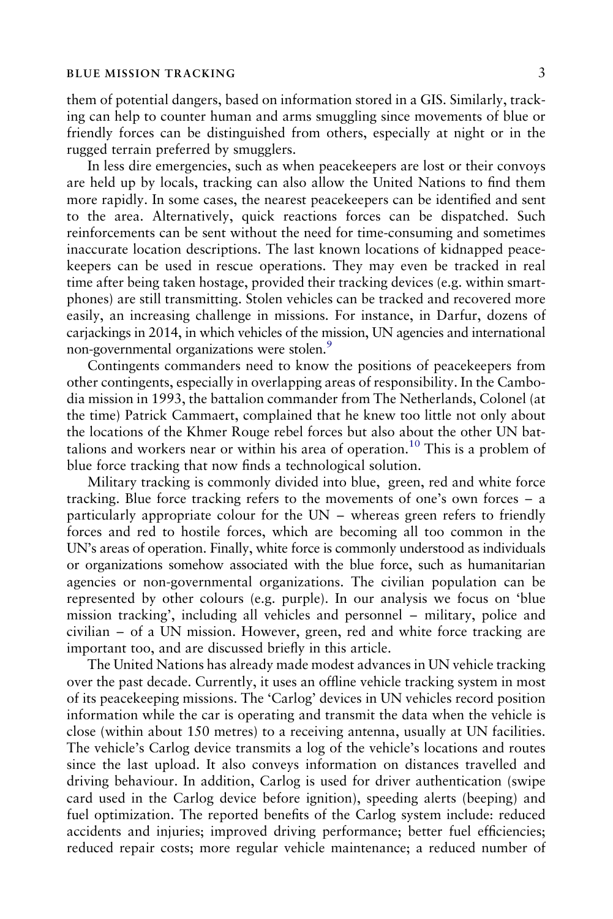them of potential dangers, based on information stored in a GIS. Similarly, tracking can help to counter human and arms smuggling since movements of blue or friendly forces can be distinguished from others, especially at night or in the rugged terrain preferred by smugglers.

In less dire emergencies, such as when peacekeepers are lost or their convoys are held up by locals, tracking can also allow the United Nations to find them more rapidly. In some cases, the nearest peacekeepers can be identified and sent to the area. Alternatively, quick reactions forces can be dispatched. Such reinforcements can be sent without the need for time-consuming and sometimes inaccurate location descriptions. The last known locations of kidnapped peacekeepers can be used in rescue operations. They may even be tracked in real time after being taken hostage, provided their tracking devices (e.g. within smartphones) are still transmitting. Stolen vehicles can be tracked and recovered more easily, an increasing challenge in missions. For instance, in Darfur, dozens of carjackings in 2014, in which vehicles of the mission, UN agencies and international non-governmental organizations were stolen.[9](#page-16-0)

Contingents commanders need to know the positions of peacekeepers from other contingents, especially in overlapping areas of responsibility. In the Cambodia mission in 1993, the battalion commander from The Netherlands, Colonel (at the time) Patrick Cammaert, complained that he knew too little not only about the locations of the Khmer Rouge rebel forces but also about the other UN bat-talions and workers near or within his area of operation.<sup>[10](#page-16-0)</sup> This is a problem of blue force tracking that now finds a technological solution.

Military tracking is commonly divided into blue, green, red and white force tracking. Blue force tracking refers to the movements of one's own forces – a particularly appropriate colour for the UN – whereas green refers to friendly forces and red to hostile forces, which are becoming all too common in the UN's areas of operation. Finally, white force is commonly understood as individuals or organizations somehow associated with the blue force, such as humanitarian agencies or non-governmental organizations. The civilian population can be represented by other colours (e.g. purple). In our analysis we focus on 'blue mission tracking', including all vehicles and personnel – military, police and civilian – of a UN mission. However, green, red and white force tracking are important too, and are discussed briefly in this article.

The United Nations has already made modest advances in UN vehicle tracking over the past decade. Currently, it uses an offline vehicle tracking system in most of its peacekeeping missions. The 'Carlog' devices in UN vehicles record position information while the car is operating and transmit the data when the vehicle is close (within about 150 metres) to a receiving antenna, usually at UN facilities. The vehicle's Carlog device transmits a log of the vehicle's locations and routes since the last upload. It also conveys information on distances travelled and driving behaviour. In addition, Carlog is used for driver authentication (swipe card used in the Carlog device before ignition), speeding alerts (beeping) and fuel optimization. The reported benefits of the Carlog system include: reduced accidents and injuries; improved driving performance; better fuel efficiencies; reduced repair costs; more regular vehicle maintenance; a reduced number of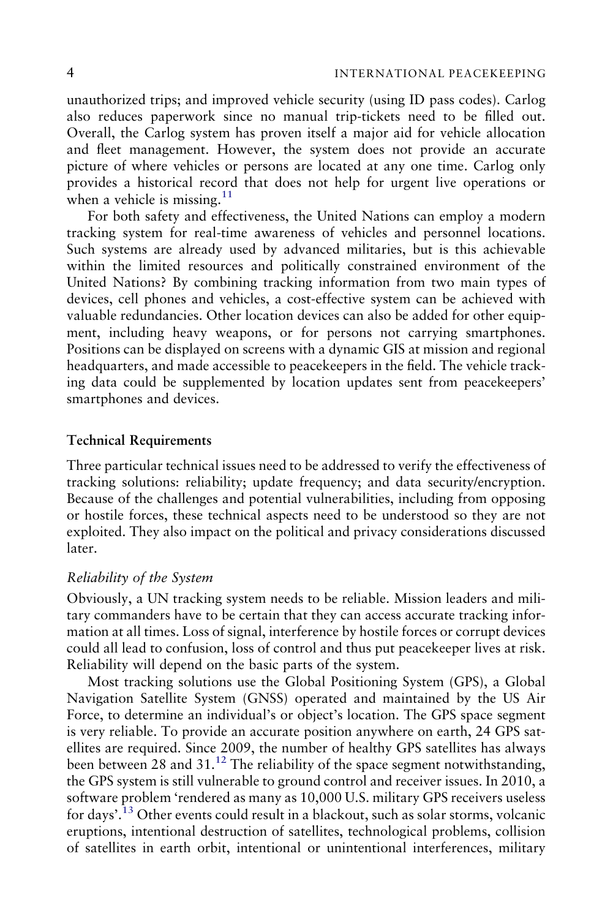unauthorized trips; and improved vehicle security (using ID pass codes). Carlog also reduces paperwork since no manual trip-tickets need to be filled out. Overall, the Carlog system has proven itself a major aid for vehicle allocation and fleet management. However, the system does not provide an accurate picture of where vehicles or persons are located at any one time. Carlog only provides a historical record that does not help for urgent live operations or when a vehicle is missing. $11$ 

For both safety and effectiveness, the United Nations can employ a modern tracking system for real-time awareness of vehicles and personnel locations. Such systems are already used by advanced militaries, but is this achievable within the limited resources and politically constrained environment of the United Nations? By combining tracking information from two main types of devices, cell phones and vehicles, a cost-effective system can be achieved with valuable redundancies. Other location devices can also be added for other equipment, including heavy weapons, or for persons not carrying smartphones. Positions can be displayed on screens with a dynamic GIS at mission and regional headquarters, and made accessible to peacekeepers in the field. The vehicle tracking data could be supplemented by location updates sent from peacekeepers' smartphones and devices.

#### Technical Requirements

Three particular technical issues need to be addressed to verify the effectiveness of tracking solutions: reliability; update frequency; and data security/encryption. Because of the challenges and potential vulnerabilities, including from opposing or hostile forces, these technical aspects need to be understood so they are not exploited. They also impact on the political and privacy considerations discussed later.

#### Reliability of the System

Obviously, a UN tracking system needs to be reliable. Mission leaders and military commanders have to be certain that they can access accurate tracking information at all times. Loss of signal, interference by hostile forces or corrupt devices could all lead to confusion, loss of control and thus put peacekeeper lives at risk. Reliability will depend on the basic parts of the system.

Most tracking solutions use the Global Positioning System (GPS), a Global Navigation Satellite System (GNSS) operated and maintained by the US Air Force, to determine an individual's or object's location. The GPS space segment is very reliable. To provide an accurate position anywhere on earth, 24 GPS satellites are required. Since 2009, the number of healthy GPS satellites has always been between 28 and  $31<sup>12</sup>$  $31<sup>12</sup>$  $31<sup>12</sup>$ . The reliability of the space segment notwithstanding, the GPS system is still vulnerable to ground control and receiver issues. In 2010, a software problem 'rendered as many as 10,000 U.S. military GPS receivers useless for days'.[13](#page-16-0) Other events could result in a blackout, such as solar storms, volcanic eruptions, intentional destruction of satellites, technological problems, collision of satellites in earth orbit, intentional or unintentional interferences, military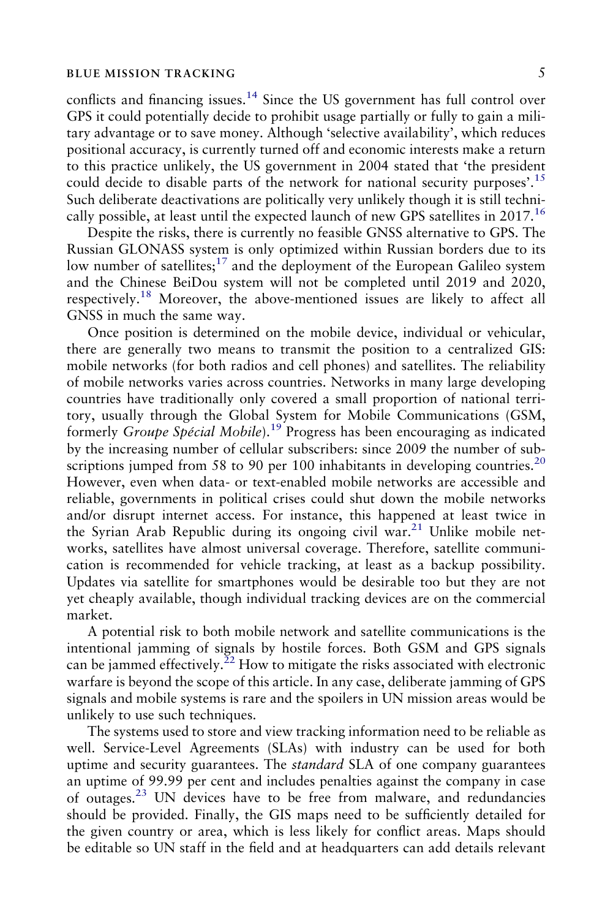conflicts and financing issues.<sup>[14](#page-16-0)</sup> Since the US government has full control over GPS it could potentially decide to prohibit usage partially or fully to gain a military advantage or to save money. Although 'selective availability', which reduces positional accuracy, is currently turned off and economic interests make a return to this practice unlikely, the US government in 2004 stated that 'the president could decide to disable parts of the network for national security purposes'.<sup>[15](#page-16-0)</sup> Such deliberate deactivations are politically very unlikely though it is still technically possible, at least until the expected launch of new GPS satellites in  $2017<sup>16</sup>$  $2017<sup>16</sup>$  $2017<sup>16</sup>$ 

Despite the risks, there is currently no feasible GNSS alternative to GPS. The Russian GLONASS system is only optimized within Russian borders due to its low number of satellites;<sup>[17](#page-16-0)</sup> and the deployment of the European Galileo system and the Chinese BeiDou system will not be completed until 2019 and 2020, respectively[.18](#page-16-0) Moreover, the above-mentioned issues are likely to affect all GNSS in much the same way.

Once position is determined on the mobile device, individual or vehicular, there are generally two means to transmit the position to a centralized GIS: mobile networks (for both radios and cell phones) and satellites. The reliability of mobile networks varies across countries. Networks in many large developing countries have traditionally only covered a small proportion of national territory, usually through the Global System for Mobile Communications (GSM, formerly *Groupe Spécial Mobile*).<sup>19</sup> Progress has been encouraging as indicated by the increasing number of cellular subscribers: since 2009 the number of sub-scriptions jumped from 58 to 90 per 100 inhabitants in developing countries.<sup>[20](#page-17-0)</sup> However, even when data- or text-enabled mobile networks are accessible and reliable, governments in political crises could shut down the mobile networks and/or disrupt internet access. For instance, this happened at least twice in the Syrian Arab Republic during its ongoing civil war.<sup>21</sup> Unlike mobile networks, satellites have almost universal coverage. Therefore, satellite communication is recommended for vehicle tracking, at least as a backup possibility. Updates via satellite for smartphones would be desirable too but they are not yet cheaply available, though individual tracking devices are on the commercial market.

A potential risk to both mobile network and satellite communications is the intentional jamming of signals by hostile forces. Both GSM and GPS signals can be jammed effectively.<sup>[22](#page-17-0)</sup> How to mitigate the risks associated with electronic warfare is beyond the scope of this article. In any case, deliberate jamming of GPS signals and mobile systems is rare and the spoilers in UN mission areas would be unlikely to use such techniques.

The systems used to store and view tracking information need to be reliable as well. Service-Level Agreements (SLAs) with industry can be used for both uptime and security guarantees. The *standard* SLA of one company guarantees an uptime of 99.99 per cent and includes penalties against the company in case of outages.[23](#page-17-0) UN devices have to be free from malware, and redundancies should be provided. Finally, the GIS maps need to be sufficiently detailed for the given country or area, which is less likely for conflict areas. Maps should be editable so UN staff in the field and at headquarters can add details relevant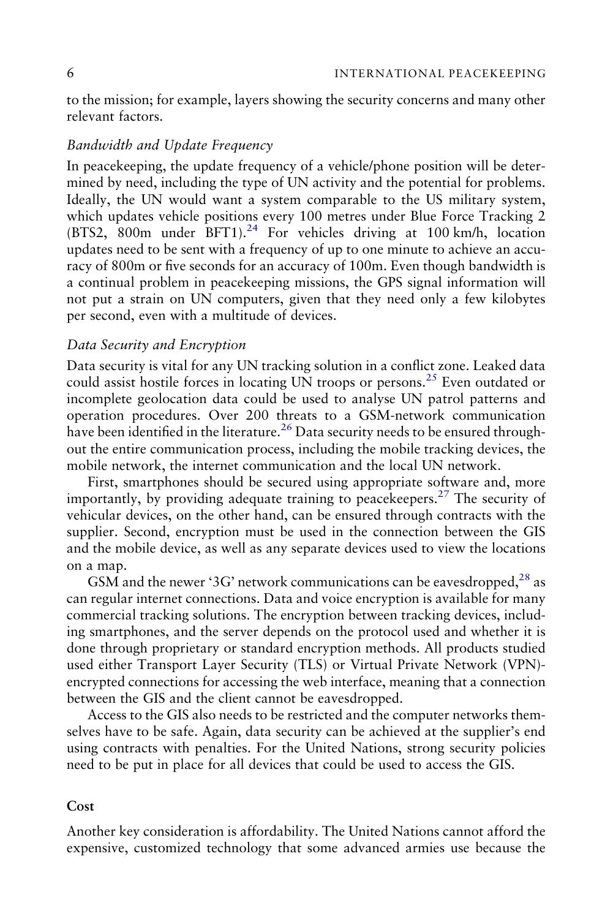to the mission; for example, layers showing the security concerns and many other relevant factors.

#### Bandwidth and Update Frequency

In peacekeeping, the update frequency of a vehicle/phone position will be determined by need, including the type of UN activity and the potential for problems. Ideally, the UN would want a system comparable to the US military system, which updates vehicle positions every 100 metres under Blue Force Tracking 2 (BTS2,  $800m$  under BFT1).<sup>24</sup> For vehicles driving at 100 km/h, location updates need to be sent with a frequency of up to one minute to achieve an accuracy of 800m or five seconds for an accuracy of 100m. Even though bandwidth is a continual problem in peacekeeping missions, the GPS signal information will not put a strain on UN computers, given that they need only a few kilobytes per second, even with a multitude of devices.

# Data Security and Encryption

Data security is vital for any UN tracking solution in a conflict zone. Leaked data could assist hostile forces in locating UN troops or persons.<sup>[25](#page-17-0)</sup> Even outdated or incomplete geolocation data could be used to analyse UN patrol patterns and operation procedures. Over 200 threats to a GSM-network communication have been identified in the literature.<sup>[26](#page-17-0)</sup> Data security needs to be ensured throughout the entire communication process, including the mobile tracking devices, the mobile network, the internet communication and the local UN network.

First, smartphones should be secured using appropriate software and, more importantly, by providing adequate training to peacekeepers.<sup>[27](#page-17-0)</sup> The security of vehicular devices, on the other hand, can be ensured through contracts with the supplier. Second, encryption must be used in the connection between the GIS and the mobile device, as well as any separate devices used to view the locations on a map.

GSM and the newer '3G' network communications can be eavesdropped,  $^{28}$  $^{28}$  $^{28}$  as can regular internet connections. Data and voice encryption is available for many commercial tracking solutions. The encryption between tracking devices, including smartphones, and the server depends on the protocol used and whether it is done through proprietary or standard encryption methods. All products studied used either Transport Layer Security (TLS) or Virtual Private Network (VPN) encrypted connections for accessing the web interface, meaning that a connection between the GIS and the client cannot be eavesdropped.

Access to the GIS also needs to be restricted and the computer networks themselves have to be safe. Again, data security can be achieved at the supplier's end using contracts with penalties. For the United Nations, strong security policies need to be put in place for all devices that could be used to access the GIS.

#### Cost

Another key consideration is affordability. The United Nations cannot afford the expensive, customized technology that some advanced armies use because the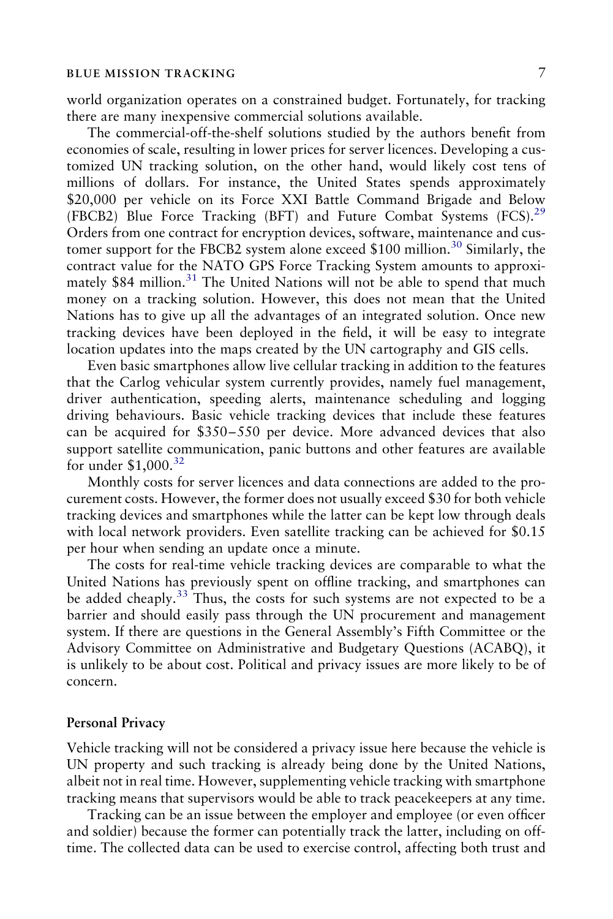world organization operates on a constrained budget. Fortunately, for tracking there are many inexpensive commercial solutions available.

The commercial-off-the-shelf solutions studied by the authors benefit from economies of scale, resulting in lower prices for server licences. Developing a customized UN tracking solution, on the other hand, would likely cost tens of millions of dollars. For instance, the United States spends approximately \$20,000 per vehicle on its Force XXI Battle Command Brigade and Below (FBCB2) Blue Force Tracking (BFT) and Future Combat Systems (FCS).[29](#page-17-0) Orders from one contract for encryption devices, software, maintenance and cus-tomer support for the FBCB2 system alone exceed \$100 million.<sup>[30](#page-17-0)</sup> Similarly, the contract value for the NATO GPS Force Tracking System amounts to approximately  $$84$  million.<sup>[31](#page-17-0)</sup> The United Nations will not be able to spend that much money on a tracking solution. However, this does not mean that the United Nations has to give up all the advantages of an integrated solution. Once new tracking devices have been deployed in the field, it will be easy to integrate location updates into the maps created by the UN cartography and GIS cells.

Even basic smartphones allow live cellular tracking in addition to the features that the Carlog vehicular system currently provides, namely fuel management, driver authentication, speeding alerts, maintenance scheduling and logging driving behaviours. Basic vehicle tracking devices that include these features can be acquired for \$350 –550 per device. More advanced devices that also support satellite communication, panic buttons and other features are available for under  $$1,000.<sup>32</sup>$  $$1,000.<sup>32</sup>$  $$1,000.<sup>32</sup>$ 

Monthly costs for server licences and data connections are added to the procurement costs. However, the former does not usually exceed \$30 for both vehicle tracking devices and smartphones while the latter can be kept low through deals with local network providers. Even satellite tracking can be achieved for \$0.15 per hour when sending an update once a minute.

The costs for real-time vehicle tracking devices are comparable to what the United Nations has previously spent on offline tracking, and smartphones can be added cheaply.<sup>[33](#page-17-0)</sup> Thus, the costs for such systems are not expected to be a barrier and should easily pass through the UN procurement and management system. If there are questions in the General Assembly's Fifth Committee or the Advisory Committee on Administrative and Budgetary Questions (ACABQ), it is unlikely to be about cost. Political and privacy issues are more likely to be of concern.

#### Personal Privacy

Vehicle tracking will not be considered a privacy issue here because the vehicle is UN property and such tracking is already being done by the United Nations, albeit not in real time. However, supplementing vehicle tracking with smartphone tracking means that supervisors would be able to track peacekeepers at any time.

Tracking can be an issue between the employer and employee (or even officer and soldier) because the former can potentially track the latter, including on offtime. The collected data can be used to exercise control, affecting both trust and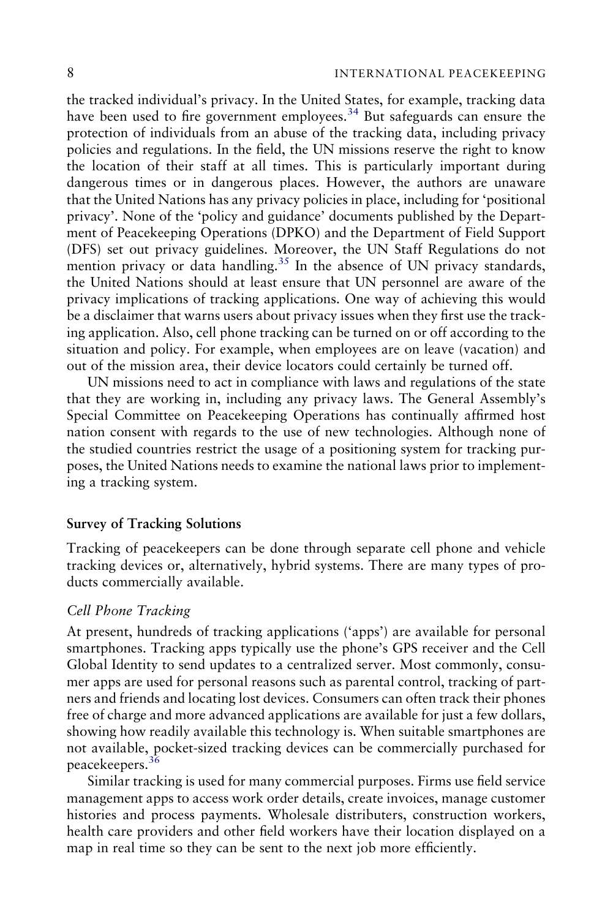the tracked individual's privacy. In the United States, for example, tracking data have been used to fire government employees.<sup>[34](#page-17-0)</sup> But safeguards can ensure the protection of individuals from an abuse of the tracking data, including privacy policies and regulations. In the field, the UN missions reserve the right to know the location of their staff at all times. This is particularly important during dangerous times or in dangerous places. However, the authors are unaware that the United Nations has any privacy policies in place, including for 'positional privacy'. None of the 'policy and guidance' documents published by the Department of Peacekeeping Operations (DPKO) and the Department of Field Support (DFS) set out privacy guidelines. Moreover, the UN Staff Regulations do not mention privacy or data handling.<sup>[35](#page-18-0)</sup> In the absence of UN privacy standards, the United Nations should at least ensure that UN personnel are aware of the privacy implications of tracking applications. One way of achieving this would be a disclaimer that warns users about privacy issues when they first use the tracking application. Also, cell phone tracking can be turned on or off according to the situation and policy. For example, when employees are on leave (vacation) and out of the mission area, their device locators could certainly be turned off.

UN missions need to act in compliance with laws and regulations of the state that they are working in, including any privacy laws. The General Assembly's Special Committee on Peacekeeping Operations has continually affirmed host nation consent with regards to the use of new technologies. Although none of the studied countries restrict the usage of a positioning system for tracking purposes, the United Nations needs to examine the national laws prior to implementing a tracking system.

#### Survey of Tracking Solutions

Tracking of peacekeepers can be done through separate cell phone and vehicle tracking devices or, alternatively, hybrid systems. There are many types of products commercially available.

# Cell Phone Tracking

At present, hundreds of tracking applications ('apps') are available for personal smartphones. Tracking apps typically use the phone's GPS receiver and the Cell Global Identity to send updates to a centralized server. Most commonly, consumer apps are used for personal reasons such as parental control, tracking of partners and friends and locating lost devices. Consumers can often track their phones free of charge and more advanced applications are available for just a few dollars, showing how readily available this technology is. When suitable smartphones are not available, pocket-sized tracking devices can be commercially purchased for peacekeepers.[36](#page-18-0)

Similar tracking is used for many commercial purposes. Firms use field service management apps to access work order details, create invoices, manage customer histories and process payments. Wholesale distributers, construction workers, health care providers and other field workers have their location displayed on a map in real time so they can be sent to the next job more efficiently.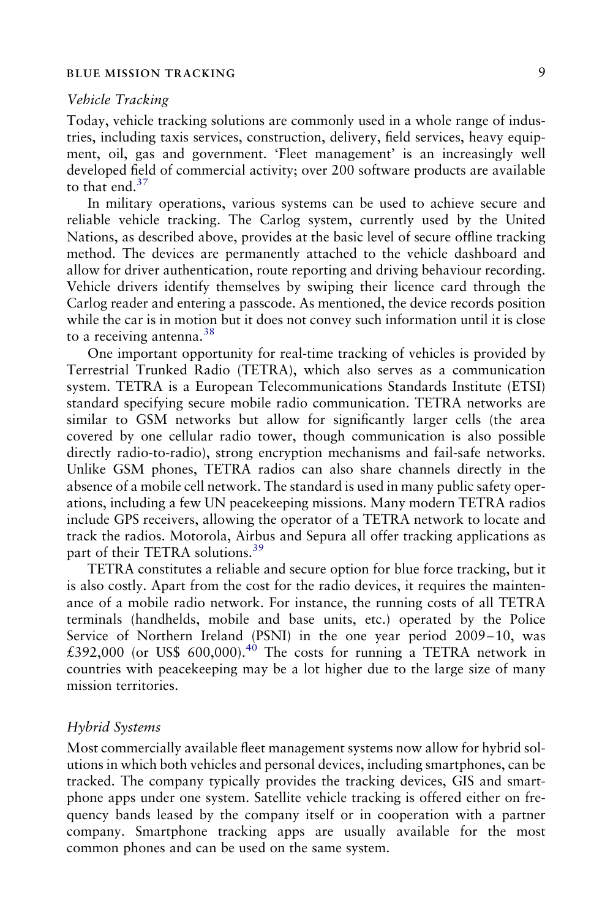#### Vehicle Tracking

Today, vehicle tracking solutions are commonly used in a whole range of industries, including taxis services, construction, delivery, field services, heavy equipment, oil, gas and government. 'Fleet management' is an increasingly well developed field of commercial activity; over 200 software products are available to that end.<sup>[37](#page-18-0)</sup>

In military operations, various systems can be used to achieve secure and reliable vehicle tracking. The Carlog system, currently used by the United Nations, as described above, provides at the basic level of secure offline tracking method. The devices are permanently attached to the vehicle dashboard and allow for driver authentication, route reporting and driving behaviour recording. Vehicle drivers identify themselves by swiping their licence card through the Carlog reader and entering a passcode. As mentioned, the device records position while the car is in motion but it does not convey such information until it is close to a receiving antenna. $38$ 

One important opportunity for real-time tracking of vehicles is provided by Terrestrial Trunked Radio (TETRA), which also serves as a communication system. TETRA is a European Telecommunications Standards Institute (ETSI) standard specifying secure mobile radio communication. TETRA networks are similar to GSM networks but allow for significantly larger cells (the area covered by one cellular radio tower, though communication is also possible directly radio-to-radio), strong encryption mechanisms and fail-safe networks. Unlike GSM phones, TETRA radios can also share channels directly in the absence of a mobile cell network. The standard is used in many public safety operations, including a few UN peacekeeping missions. Many modern TETRA radios include GPS receivers, allowing the operator of a TETRA network to locate and track the radios. Motorola, Airbus and Sepura all offer tracking applications as part of their TETRA solutions.<sup>[39](#page-18-0)</sup>

TETRA constitutes a reliable and secure option for blue force tracking, but it is also costly. Apart from the cost for the radio devices, it requires the maintenance of a mobile radio network. For instance, the running costs of all TETRA terminals (handhelds, mobile and base units, etc.) operated by the Police Service of Northern Ireland (PSNI) in the one year period 2009–10, was £392,000 (or US\$  $600,000$ ).<sup>[40](#page-18-0)</sup> The costs for running a TETRA network in countries with peacekeeping may be a lot higher due to the large size of many mission territories.

#### Hybrid Systems

Most commercially available fleet management systems now allow for hybrid solutions in which both vehicles and personal devices, including smartphones, can be tracked. The company typically provides the tracking devices, GIS and smartphone apps under one system. Satellite vehicle tracking is offered either on frequency bands leased by the company itself or in cooperation with a partner company. Smartphone tracking apps are usually available for the most common phones and can be used on the same system.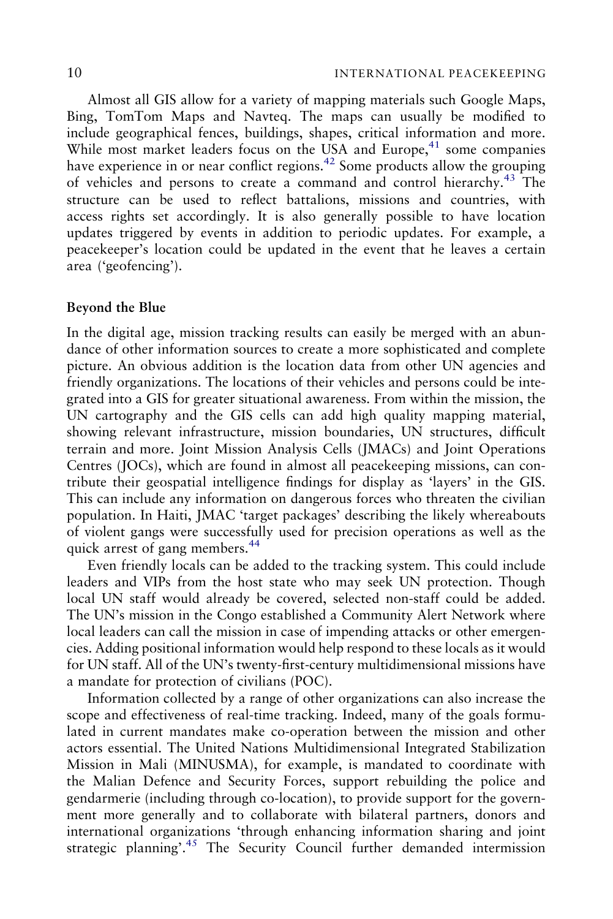Almost all GIS allow for a variety of mapping materials such Google Maps, Bing, TomTom Maps and Navteq. The maps can usually be modified to include geographical fences, buildings, shapes, critical information and more. While most market leaders focus on the USA and Europe,  $41$  some companies have experience in or near conflict regions.<sup>[42](#page-18-0)</sup> Some products allow the grouping of vehicles and persons to create a command and control hierarchy.[43](#page-18-0) The structure can be used to reflect battalions, missions and countries, with access rights set accordingly. It is also generally possible to have location updates triggered by events in addition to periodic updates. For example, a peacekeeper's location could be updated in the event that he leaves a certain area ('geofencing').

#### Beyond the Blue

In the digital age, mission tracking results can easily be merged with an abundance of other information sources to create a more sophisticated and complete picture. An obvious addition is the location data from other UN agencies and friendly organizations. The locations of their vehicles and persons could be integrated into a GIS for greater situational awareness. From within the mission, the UN cartography and the GIS cells can add high quality mapping material, showing relevant infrastructure, mission boundaries, UN structures, difficult terrain and more. Joint Mission Analysis Cells (JMACs) and Joint Operations Centres (JOCs), which are found in almost all peacekeeping missions, can contribute their geospatial intelligence findings for display as 'layers' in the GIS. This can include any information on dangerous forces who threaten the civilian population. In Haiti, JMAC 'target packages' describing the likely whereabouts of violent gangs were successfully used for precision operations as well as the quick arrest of gang members.<sup>[44](#page-18-0)</sup>

Even friendly locals can be added to the tracking system. This could include leaders and VIPs from the host state who may seek UN protection. Though local UN staff would already be covered, selected non-staff could be added. The UN's mission in the Congo established a Community Alert Network where local leaders can call the mission in case of impending attacks or other emergencies. Adding positional information would help respond to these locals as it would for UN staff. All of the UN's twenty-first-century multidimensional missions have a mandate for protection of civilians (POC).

Information collected by a range of other organizations can also increase the scope and effectiveness of real-time tracking. Indeed, many of the goals formulated in current mandates make co-operation between the mission and other actors essential. The United Nations Multidimensional Integrated Stabilization Mission in Mali (MINUSMA), for example, is mandated to coordinate with the Malian Defence and Security Forces, support rebuilding the police and gendarmerie (including through co-location), to provide support for the government more generally and to collaborate with bilateral partners, donors and international organizations 'through enhancing information sharing and joint strategic planning'.<sup>[45](#page-18-0)</sup> The Security Council further demanded intermission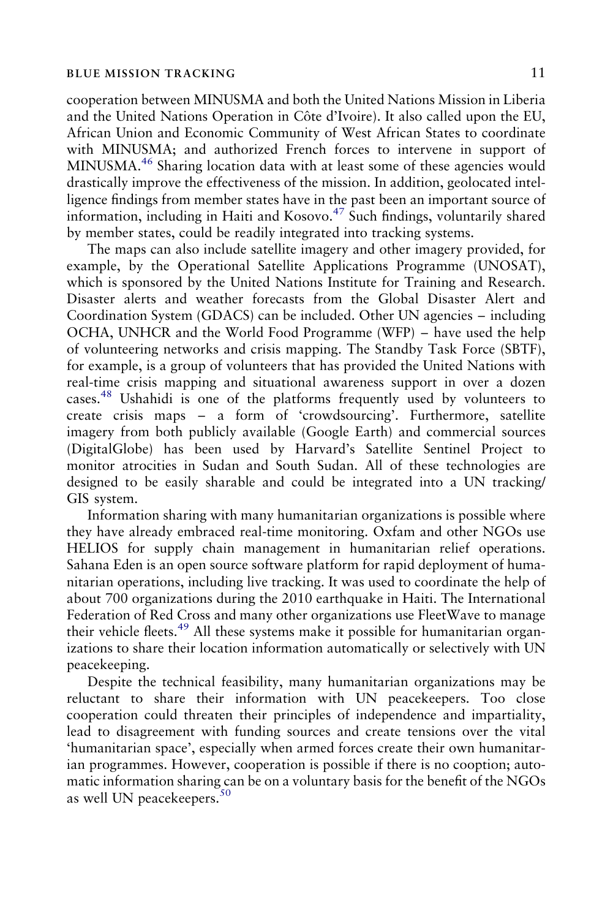cooperation between MINUSMA and both the United Nations Mission in Liberia and the United Nations Operation in Côte d'Ivoire). It also called upon the EU, African Union and Economic Community of West African States to coordinate with MINUSMA; and authorized French forces to intervene in support of MINUSMA.[46](#page-18-0) Sharing location data with at least some of these agencies would drastically improve the effectiveness of the mission. In addition, geolocated intelligence findings from member states have in the past been an important source of information, including in Haiti and Kosovo.<sup>[47](#page-18-0)</sup> Such findings, voluntarily shared by member states, could be readily integrated into tracking systems.

The maps can also include satellite imagery and other imagery provided, for example, by the Operational Satellite Applications Programme (UNOSAT), which is sponsored by the United Nations Institute for Training and Research. Disaster alerts and weather forecasts from the Global Disaster Alert and Coordination System (GDACS) can be included. Other UN agencies – including OCHA, UNHCR and the World Food Programme (WFP) – have used the help of volunteering networks and crisis mapping. The Standby Task Force (SBTF), for example, is a group of volunteers that has provided the United Nations with real-time crisis mapping and situational awareness support in over a dozen cases.[48](#page-18-0) Ushahidi is one of the platforms frequently used by volunteers to create crisis maps – a form of 'crowdsourcing'. Furthermore, satellite imagery from both publicly available (Google Earth) and commercial sources (DigitalGlobe) has been used by Harvard's Satellite Sentinel Project to monitor atrocities in Sudan and South Sudan. All of these technologies are designed to be easily sharable and could be integrated into a UN tracking/ GIS system.

Information sharing with many humanitarian organizations is possible where they have already embraced real-time monitoring. Oxfam and other NGOs use HELIOS for supply chain management in humanitarian relief operations. Sahana Eden is an open source software platform for rapid deployment of humanitarian operations, including live tracking. It was used to coordinate the help of about 700 organizations during the 2010 earthquake in Haiti. The International Federation of Red Cross and many other organizations use FleetWave to manage their vehicle fleets.<sup>[49](#page-18-0)</sup> All these systems make it possible for humanitarian organizations to share their location information automatically or selectively with UN peacekeeping.

Despite the technical feasibility, many humanitarian organizations may be reluctant to share their information with UN peacekeepers. Too close cooperation could threaten their principles of independence and impartiality, lead to disagreement with funding sources and create tensions over the vital 'humanitarian space', especially when armed forces create their own humanitarian programmes. However, cooperation is possible if there is no cooption; automatic information sharing can be on a voluntary basis for the benefit of the NGOs as well UN peacekeepers.<sup>[50](#page-18-0)</sup>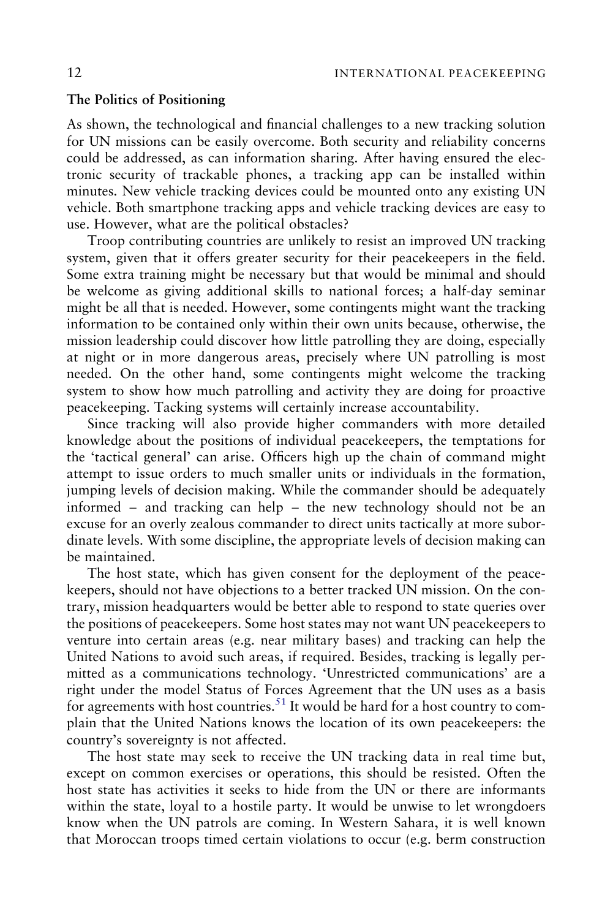# The Politics of Positioning

As shown, the technological and financial challenges to a new tracking solution for UN missions can be easily overcome. Both security and reliability concerns could be addressed, as can information sharing. After having ensured the electronic security of trackable phones, a tracking app can be installed within minutes. New vehicle tracking devices could be mounted onto any existing UN vehicle. Both smartphone tracking apps and vehicle tracking devices are easy to use. However, what are the political obstacles?

Troop contributing countries are unlikely to resist an improved UN tracking system, given that it offers greater security for their peacekeepers in the field. Some extra training might be necessary but that would be minimal and should be welcome as giving additional skills to national forces; a half-day seminar might be all that is needed. However, some contingents might want the tracking information to be contained only within their own units because, otherwise, the mission leadership could discover how little patrolling they are doing, especially at night or in more dangerous areas, precisely where UN patrolling is most needed. On the other hand, some contingents might welcome the tracking system to show how much patrolling and activity they are doing for proactive peacekeeping. Tacking systems will certainly increase accountability.

Since tracking will also provide higher commanders with more detailed knowledge about the positions of individual peacekeepers, the temptations for the 'tactical general' can arise. Officers high up the chain of command might attempt to issue orders to much smaller units or individuals in the formation, jumping levels of decision making. While the commander should be adequately informed – and tracking can help – the new technology should not be an excuse for an overly zealous commander to direct units tactically at more subordinate levels. With some discipline, the appropriate levels of decision making can be maintained.

The host state, which has given consent for the deployment of the peacekeepers, should not have objections to a better tracked UN mission. On the contrary, mission headquarters would be better able to respond to state queries over the positions of peacekeepers. Some host states may not want UN peacekeepers to venture into certain areas (e.g. near military bases) and tracking can help the United Nations to avoid such areas, if required. Besides, tracking is legally permitted as a communications technology. 'Unrestricted communications' are a right under the model Status of Forces Agreement that the UN uses as a basis for agreements with host countries.<sup>[51](#page-18-0)</sup> It would be hard for a host country to complain that the United Nations knows the location of its own peacekeepers: the country's sovereignty is not affected.

The host state may seek to receive the UN tracking data in real time but, except on common exercises or operations, this should be resisted. Often the host state has activities it seeks to hide from the UN or there are informants within the state, loyal to a hostile party. It would be unwise to let wrongdoers know when the UN patrols are coming. In Western Sahara, it is well known that Moroccan troops timed certain violations to occur (e.g. berm construction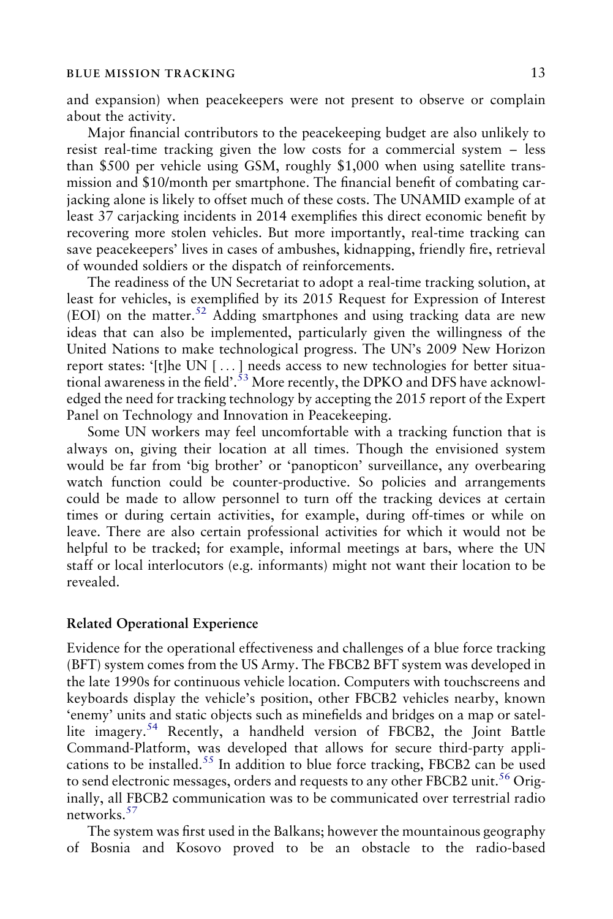and expansion) when peacekeepers were not present to observe or complain about the activity.

Major financial contributors to the peacekeeping budget are also unlikely to resist real-time tracking given the low costs for a commercial system – less than \$500 per vehicle using GSM, roughly \$1,000 when using satellite transmission and \$10/month per smartphone. The financial benefit of combating carjacking alone is likely to offset much of these costs. The UNAMID example of at least 37 carjacking incidents in 2014 exemplifies this direct economic benefit by recovering more stolen vehicles. But more importantly, real-time tracking can save peacekeepers' lives in cases of ambushes, kidnapping, friendly fire, retrieval of wounded soldiers or the dispatch of reinforcements.

The readiness of the UN Secretariat to adopt a real-time tracking solution, at least for vehicles, is exemplified by its 2015 Request for Expression of Interest  $(EOI)$  on the matter.<sup>[52](#page-18-0)</sup> Adding smartphones and using tracking data are new ideas that can also be implemented, particularly given the willingness of the United Nations to make technological progress. The UN's 2009 New Horizon report states: '[t]he UN [ ... ] needs access to new technologies for better situa-tional awareness in the field'.<sup>[53](#page-18-0)</sup> More recently, the DPKO and DFS have acknowledged the need for tracking technology by accepting the 2015 report of the Expert Panel on Technology and Innovation in Peacekeeping.

Some UN workers may feel uncomfortable with a tracking function that is always on, giving their location at all times. Though the envisioned system would be far from 'big brother' or 'panopticon' surveillance, any overbearing watch function could be counter-productive. So policies and arrangements could be made to allow personnel to turn off the tracking devices at certain times or during certain activities, for example, during off-times or while on leave. There are also certain professional activities for which it would not be helpful to be tracked; for example, informal meetings at bars, where the UN staff or local interlocutors (e.g. informants) might not want their location to be revealed.

#### Related Operational Experience

Evidence for the operational effectiveness and challenges of a blue force tracking (BFT) system comes from the US Army. The FBCB2 BFT system was developed in the late 1990s for continuous vehicle location. Computers with touchscreens and keyboards display the vehicle's position, other FBCB2 vehicles nearby, known 'enemy' units and static objects such as minefields and bridges on a map or satel-lite imagery.<sup>[54](#page-18-0)</sup> Recently, a handheld version of FBCB2, the Joint Battle Command-Platform, was developed that allows for secure third-party appli-cations to be installed.<sup>[55](#page-18-0)</sup> In addition to blue force tracking, FBCB2 can be used to send electronic messages, orders and requests to any other FBCB2 unit.<sup>[56](#page-18-0)</sup> Originally, all FBCB2 communication was to be communicated over terrestrial radio networks.[57](#page-19-0)

The system was first used in the Balkans; however the mountainous geography of Bosnia and Kosovo proved to be an obstacle to the radio-based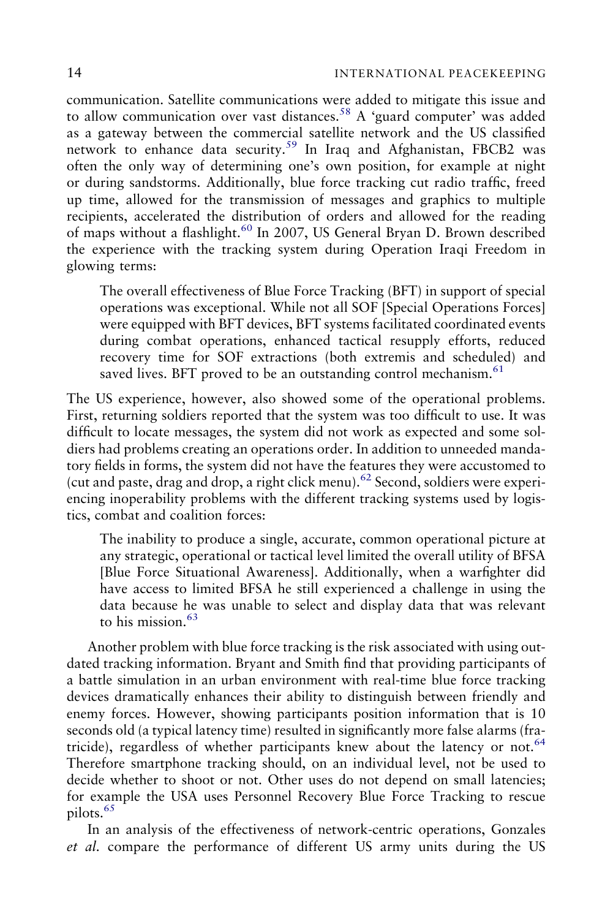communication. Satellite communications were added to mitigate this issue and to allow communication over vast distances.<sup>[58](#page-19-0)</sup> A 'guard computer' was added as a gateway between the commercial satellite network and the US classified network to enhance data security.<sup>[59](#page-19-0)</sup> In Iraq and Afghanistan, FBCB2 was often the only way of determining one's own position, for example at night or during sandstorms. Additionally, blue force tracking cut radio traffic, freed up time, allowed for the transmission of messages and graphics to multiple recipients, accelerated the distribution of orders and allowed for the reading of maps without a flashlight.<sup>[60](#page-19-0)</sup> In 2007, US General Bryan D. Brown described the experience with the tracking system during Operation Iraqi Freedom in glowing terms:

The overall effectiveness of Blue Force Tracking (BFT) in support of special operations was exceptional. While not all SOF [Special Operations Forces] were equipped with BFT devices, BFT systems facilitated coordinated events during combat operations, enhanced tactical resupply efforts, reduced recovery time for SOF extractions (both extremis and scheduled) and saved lives. BFT proved to be an outstanding control mechanism.<sup>[61](#page-19-0)</sup>

The US experience, however, also showed some of the operational problems. First, returning soldiers reported that the system was too difficult to use. It was difficult to locate messages, the system did not work as expected and some soldiers had problems creating an operations order. In addition to unneeded mandatory fields in forms, the system did not have the features they were accustomed to (cut and paste, drag and drop, a right click menu).[62](#page-19-0) Second, soldiers were experiencing inoperability problems with the different tracking systems used by logistics, combat and coalition forces:

The inability to produce a single, accurate, common operational picture at any strategic, operational or tactical level limited the overall utility of BFSA [Blue Force Situational Awareness]. Additionally, when a warfighter did have access to limited BFSA he still experienced a challenge in using the data because he was unable to select and display data that was relevant to his mission. $63$ 

Another problem with blue force tracking is the risk associated with using outdated tracking information. Bryant and Smith find that providing participants of a battle simulation in an urban environment with real-time blue force tracking devices dramatically enhances their ability to distinguish between friendly and enemy forces. However, showing participants position information that is 10 seconds old (a typical latency time) resulted in significantly more false alarms (fra-tricide), regardless of whether participants knew about the latency or not.<sup>[64](#page-19-0)</sup> Therefore smartphone tracking should, on an individual level, not be used to decide whether to shoot or not. Other uses do not depend on small latencies; for example the USA uses Personnel Recovery Blue Force Tracking to rescue pilots.<sup>[65](#page-19-0)</sup>

In an analysis of the effectiveness of network-centric operations, Gonzales et al. compare the performance of different US army units during the US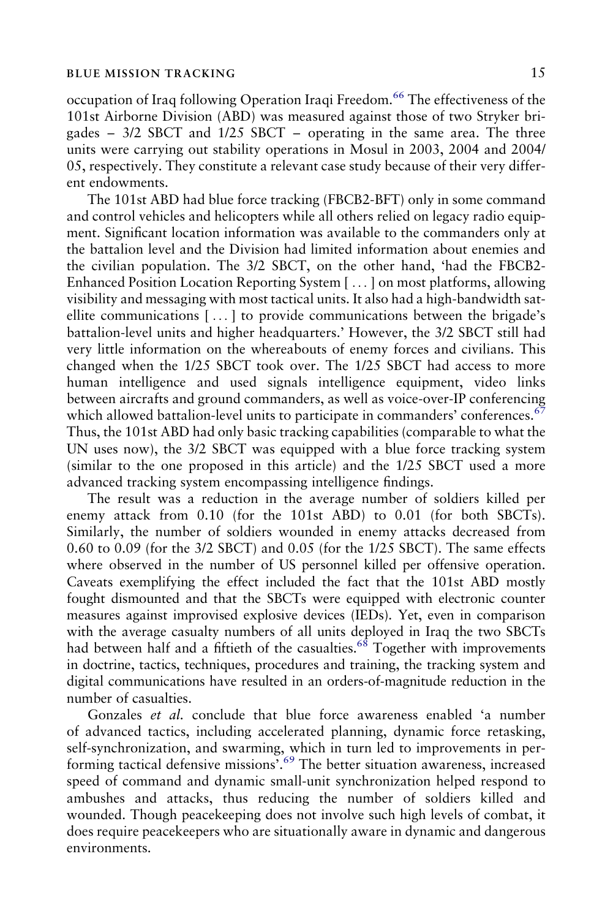occupation of Iraq following Operation Iraqi Freedom.<sup>[66](#page-19-0)</sup> The effectiveness of the 101st Airborne Division (ABD) was measured against those of two Stryker brigades – 3/2 SBCT and 1/25 SBCT – operating in the same area. The three units were carrying out stability operations in Mosul in 2003, 2004 and 2004/ 05, respectively. They constitute a relevant case study because of their very different endowments.

The 101st ABD had blue force tracking (FBCB2-BFT) only in some command and control vehicles and helicopters while all others relied on legacy radio equipment. Significant location information was available to the commanders only at the battalion level and the Division had limited information about enemies and the civilian population. The 3/2 SBCT, on the other hand, 'had the FBCB2- Enhanced Position Location Reporting System [ ... ] on most platforms, allowing visibility and messaging with most tactical units. It also had a high-bandwidth satellite communications [ ... ] to provide communications between the brigade's battalion-level units and higher headquarters.' However, the 3/2 SBCT still had very little information on the whereabouts of enemy forces and civilians. This changed when the 1/25 SBCT took over. The 1/25 SBCT had access to more human intelligence and used signals intelligence equipment, video links between aircrafts and ground commanders, as well as voice-over-IP conferencing which allowed battalion-level units to participate in commanders' conferences.<sup>[67](#page-19-0)</sup> Thus, the 101st ABD had only basic tracking capabilities (comparable to what the UN uses now), the 3/2 SBCT was equipped with a blue force tracking system (similar to the one proposed in this article) and the 1/25 SBCT used a more advanced tracking system encompassing intelligence findings.

The result was a reduction in the average number of soldiers killed per enemy attack from 0.10 (for the 101st ABD) to 0.01 (for both SBCTs). Similarly, the number of soldiers wounded in enemy attacks decreased from 0.60 to 0.09 (for the 3/2 SBCT) and 0.05 (for the 1/25 SBCT). The same effects where observed in the number of US personnel killed per offensive operation. Caveats exemplifying the effect included the fact that the 101st ABD mostly fought dismounted and that the SBCTs were equipped with electronic counter measures against improvised explosive devices (IEDs). Yet, even in comparison with the average casualty numbers of all units deployed in Iraq the two SBCTs had between half and a fiftieth of the casualties.<sup>[68](#page-19-0)</sup> Together with improvements in doctrine, tactics, techniques, procedures and training, the tracking system and digital communications have resulted in an orders-of-magnitude reduction in the number of casualties.

Gonzales et al. conclude that blue force awareness enabled 'a number of advanced tactics, including accelerated planning, dynamic force retasking, self-synchronization, and swarming, which in turn led to improvements in performing tactical defensive missions'.[69](#page-19-0) The better situation awareness, increased speed of command and dynamic small-unit synchronization helped respond to ambushes and attacks, thus reducing the number of soldiers killed and wounded. Though peacekeeping does not involve such high levels of combat, it does require peacekeepers who are situationally aware in dynamic and dangerous environments.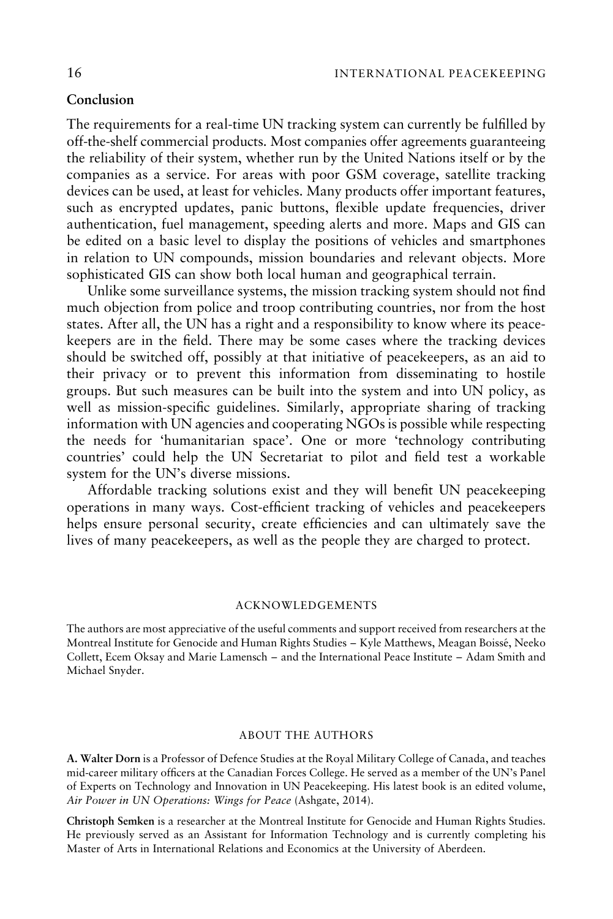# Conclusion

The requirements for a real-time UN tracking system can currently be fulfilled by off-the-shelf commercial products. Most companies offer agreements guaranteeing the reliability of their system, whether run by the United Nations itself or by the companies as a service. For areas with poor GSM coverage, satellite tracking devices can be used, at least for vehicles. Many products offer important features, such as encrypted updates, panic buttons, flexible update frequencies, driver authentication, fuel management, speeding alerts and more. Maps and GIS can be edited on a basic level to display the positions of vehicles and smartphones in relation to UN compounds, mission boundaries and relevant objects. More sophisticated GIS can show both local human and geographical terrain.

Unlike some surveillance systems, the mission tracking system should not find much objection from police and troop contributing countries, nor from the host states. After all, the UN has a right and a responsibility to know where its peacekeepers are in the field. There may be some cases where the tracking devices should be switched off, possibly at that initiative of peacekeepers, as an aid to their privacy or to prevent this information from disseminating to hostile groups. But such measures can be built into the system and into UN policy, as well as mission-specific guidelines. Similarly, appropriate sharing of tracking information with UN agencies and cooperating NGOs is possible while respecting the needs for 'humanitarian space'. One or more 'technology contributing countries' could help the UN Secretariat to pilot and field test a workable system for the UN's diverse missions.

Affordable tracking solutions exist and they will benefit UN peacekeeping operations in many ways. Cost-efficient tracking of vehicles and peacekeepers helps ensure personal security, create efficiencies and can ultimately save the lives of many peacekeepers, as well as the people they are charged to protect.

#### ACKNOWLEDGEMENTS

The authors are most appreciative of the useful comments and support received from researchers at the Montreal Institute for Genocide and Human Rights Studies – Kyle Matthews, Meagan Boissé, Neeko Collett, Ecem Oksay and Marie Lamensch – and the International Peace Institute – Adam Smith and Michael Snyder.

#### ABOUT THE AUTHORS

A. Walter Dorn is a Professor of Defence Studies at the Royal Military College of Canada, and teaches mid-career military officers at the Canadian Forces College. He served as a member of the UN's Panel of Experts on Technology and Innovation in UN Peacekeeping. His latest book is an edited volume, Air Power in UN Operations: Wings for Peace (Ashgate, 2014).

Christoph Semken is a researcher at the Montreal Institute for Genocide and Human Rights Studies. He previously served as an Assistant for Information Technology and is currently completing his Master of Arts in International Relations and Economics at the University of Aberdeen.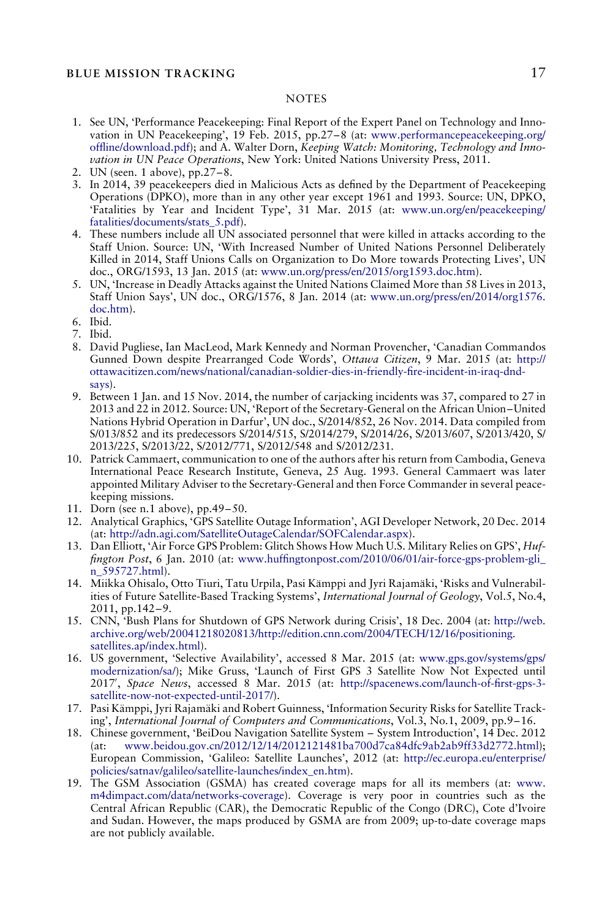#### **NOTES**

<span id="page-16-0"></span>1. See UN, 'Performance Peacekeeping: Final Report of the Expert Panel on Technology and Innovation in UN Peacekeeping', 19 Feb. 2015, pp.27-8 (at: [www.performancepeacekeeping.org/](www.performancepeacekeeping.org/offline/download.pdf) [offline/download.pdf\)](www.performancepeacekeeping.org/offline/download.pdf); and A. Walter Dorn, Keeping Watch: Monitoring, Technology and Innovation in UN Peace Operations, New York: United Nations University Press, 2011.

- 3. In 2014, 39 peacekeepers died in Malicious Acts as defined by the Department of Peacekeeping Operations (DPKO), more than in any other year except 1961 and 1993. Source: UN, DPKO, 'Fatalities by Year and Incident Type', 31 Mar. 2015 (at: [www.un.org/en/peacekeeping/](www.un.org/en/peacekeeping/fatalities/documents/stats_5.pdf) [fatalities/documents/stats\\_5.pdf](www.un.org/en/peacekeeping/fatalities/documents/stats_5.pdf)).
- 4. These numbers include all UN associated personnel that were killed in attacks according to the Staff Union. Source: UN, 'With Increased Number of United Nations Personnel Deliberately Killed in 2014, Staff Unions Calls on Organization to Do More towards Protecting Lives', UN doc., ORG/1593, 13 Jan. 2015 (at: <www.un.org/press/en/2015/org1593.doc.htm>).
- 5. UN, 'Increase in Deadly Attacks against the United Nations Claimed More than 58 Lives in 2013, Staff Union Says', UN doc., ORG/1576, 8 Jan. 2014 (at: [www.un.org/press/en/2014/org1576.](www.un.org/press/en/2014/org1576.doc.htm) [doc.htm](www.un.org/press/en/2014/org1576.doc.htm)).
- 6. Ibid.
- 7. Ibid.
- 8. David Pugliese, Ian MacLeod, Mark Kennedy and Norman Provencher, 'Canadian Commandos Gunned Down despite Prearranged Code Words', Ottawa Citizen, 9 Mar. 2015 (at: [http://](http://ottawacitizen.com/news/national/canadian-soldier-dies-in-friendly-fire-incident-in-iraq-dnd-says) [ottawacitizen.com/news/national/canadian-soldier-dies-in-friendly-fire-incident-in-iraq-dnd](http://ottawacitizen.com/news/national/canadian-soldier-dies-in-friendly-fire-incident-in-iraq-dnd-says)[says\)](http://ottawacitizen.com/news/national/canadian-soldier-dies-in-friendly-fire-incident-in-iraq-dnd-says).
- 9. Between 1 Jan. and 15 Nov. 2014, the number of carjacking incidents was 37, compared to 27 in 2013 and 22 in 2012. Source: UN, 'Report of the Secretary-General on the African Union–United Nations Hybrid Operation in Darfur', UN doc., S/2014/852, 26 Nov. 2014. Data compiled from S/013/852 and its predecessors S/2014/515, S/2014/279, S/2014/26, S/2013/607, S/2013/420, S/ 2013/225, S/2013/22, S/2012/771, S/2012/548 and S/2012/231.
- 10. Patrick Cammaert, communication to one of the authors after his return from Cambodia, Geneva International Peace Research Institute, Geneva, 25 Aug. 1993. General Cammaert was later appointed Military Adviser to the Secretary-General and then Force Commander in several peacekeeping missions.
- 11. Dorn (see n.1 above), pp.49–50.
- 12. Analytical Graphics, 'GPS Satellite Outage Information', AGI Developer Network, 20 Dec. 2014 (at: [http://adn.agi.com/SatelliteOutageCalendar/SOFCalendar.aspx\)](http://adn.agi.com/SatelliteOutageCalendar/SOFCalendar.aspx).
- 13. Dan Elliott, 'Air Force GPS Problem: Glitch Shows How Much U.S. Military Relies on GPS', Huffington Post, 6 Jan. 2010 (at: [www.huffingtonpost.com/2010/06/01/air-force-gps-problem-gli\\_](www.huffingtonpost.com/2010/06/01/air-force-gps-problem-gli_n_595727.html) [n\\_595727.html](www.huffingtonpost.com/2010/06/01/air-force-gps-problem-gli_n_595727.html)).
- 14. Miikka Ohisalo, Otto Tiuri, Tatu Urpila, Pasi Kämppi and Jyri Rajamäki, 'Risks and Vulnerabilities of Future Satellite-Based Tracking Systems', International Journal of Geology, Vol.5, No.4, 2011, pp.142–9.
- 15. CNN, 'Bush Plans for Shutdown of GPS Network during Crisis', 18 Dec. 2004 (at: [http://web.](http://web.archive.org/web/20041218020813/http://edition.cnn.com/2004/TECH/12/16/positioning.satellites.ap/index.html) [archive.org/web/20041218020813/http://edition.cnn.com/2004/TECH/12/16/positioning.](http://web.archive.org/web/20041218020813/http://edition.cnn.com/2004/TECH/12/16/positioning.satellites.ap/index.html) [satellites.ap/index.html\)](http://web.archive.org/web/20041218020813/http://edition.cnn.com/2004/TECH/12/16/positioning.satellites.ap/index.html).
- 16. US government, 'Selective Availability', accessed 8 Mar. 2015 (at: [www.gps.gov/systems/gps/](www.gps.gov/systems/gps/modernization/sa/) [modernization/sa/\)](www.gps.gov/systems/gps/modernization/sa/); Mike Gruss, 'Launch of First GPS 3 Satellite Now Not Expected until 2017′ , Space News, accessed 8 Mar. 2015 (at: [http://spacenews.com/launch-of-first-gps-3](http://spacenews.com/launch-of-first-gps-3-satellite-now-not-expected-until-2017/) [satellite-now-not-expected-until-2017/](http://spacenews.com/launch-of-first-gps-3-satellite-now-not-expected-until-2017/)).
- 17. Pasi Kämppi, Jyri Rajamäki and Robert Guinness, 'Information Security Risks for Satellite Tracking', International Journal of Computers and Communications, Vol.3, No.1, 2009, pp.9–16.
- 18. Chinese government, 'BeiDou Navigation Satellite System System Introduction', 14 Dec. 2012 (at: <www.beidou.gov.cn/2012/12/14/2012121481ba700d7ca84dfc9ab2ab9ff33d2772.html>); European Commission, 'Galileo: Satellite Launches', 2012 (at: [http://ec.europa.eu/enterprise/](http://ec.europa.eu/enterprise/policies/satnav/galileo/satellite-launches/index_en.htm) [policies/satnav/galileo/satellite-launches/index\\_en.htm](http://ec.europa.eu/enterprise/policies/satnav/galileo/satellite-launches/index_en.htm)).
- 19. The GSM Association (GSMA) has created coverage maps for all its members (at: [www.](www.m4dimpact.com/data/networks-coverage) [m4dimpact.com/data/networks-coverage](www.m4dimpact.com/data/networks-coverage)). Coverage is very poor in countries such as the Central African Republic (CAR), the Democratic Republic of the Congo (DRC), Cote d'Ivoire and Sudan. However, the maps produced by GSMA are from 2009; up-to-date coverage maps are not publicly available.

<sup>2.</sup> UN (seen. 1 above), pp.27–8.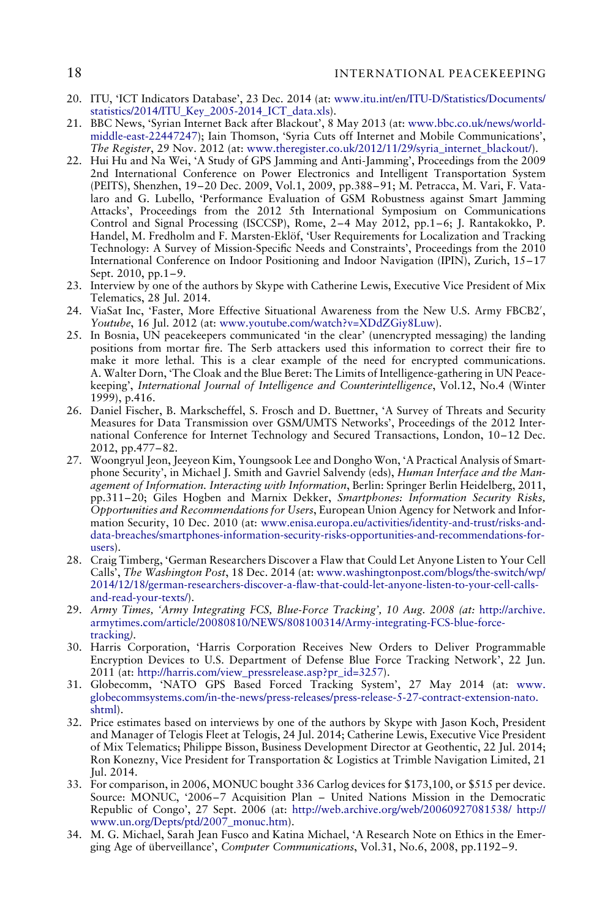- <span id="page-17-0"></span>20. ITU, 'ICT Indicators Database', 23 Dec. 2014 (at: [www.itu.int/en/ITU-D/Statistics/Documents/](www.itu.int/en/ITU-D/Statistics/Documents/statistics/2014/ITU_Key_2005-2014_ICT_data.xls) [statistics/2014/ITU\\_Key\\_2005-2014\\_ICT\\_data.xls](www.itu.int/en/ITU-D/Statistics/Documents/statistics/2014/ITU_Key_2005-2014_ICT_data.xls)).
- 21. BBC News, 'Syrian Internet Back after Blackout', 8 May 2013 (at: [www.bbc.co.uk/news/world](http://www.bbc.co.uk/news/world-middle-east-22447247)[middle-east-22447247\)](http://www.bbc.co.uk/news/world-middle-east-22447247); Iain Thomson, 'Syria Cuts off Internet and Mobile Communications', The Register, 29 Nov. 2012 (at: [www.theregister.co.uk/2012/11/29/syria\\_internet\\_blackout/\)](www.theregister.co.uk/2012/11/29/syria_internet_blackout/).
- 22. Hui Hu and Na Wei, 'A Study of GPS Jamming and Anti-Jamming', Proceedings from the 2009 2nd International Conference on Power Electronics and Intelligent Transportation System (PEITS), Shenzhen, 19–20 Dec. 2009, Vol.1, 2009, pp.388–91; M. Petracca, M. Vari, F. Vatalaro and G. Lubello, 'Performance Evaluation of GSM Robustness against Smart Jamming Attacks', Proceedings from the 2012 5th International Symposium on Communications Control and Signal Processing (ISCCSP), Rome, 2 –4 May 2012, pp.1–6; J. Rantakokko, P. Handel, M. Fredholm and F. Marsten-Eklöf, 'User Requirements for Localization and Tracking Technology: A Survey of Mission-Specific Needs and Constraints', Proceedings from the 2010 International Conference on Indoor Positioning and Indoor Navigation (IPIN), Zurich, 15 –17 Sept. 2010, pp.1–9.
- 23. Interview by one of the authors by Skype with Catherine Lewis, Executive Vice President of Mix Telematics, 28 Jul. 2014.
- 24. ViaSat Inc, 'Faster, More Effective Situational Awareness from the New U.S. Army FBCB2′ , Youtube, 16 Jul. 2012 (at: <www.youtube.com/watch?v=XDdZGiy8Luw>).
- 25. In Bosnia, UN peacekeepers communicated 'in the clear' (unencrypted messaging) the landing positions from mortar fire. The Serb attackers used this information to correct their fire to make it more lethal. This is a clear example of the need for encrypted communications. A. Walter Dorn, 'The Cloak and the Blue Beret: The Limits of Intelligence-gathering in UN Peacekeeping', International Journal of Intelligence and Counterintelligence, Vol.12, No.4 (Winter 1999), p.416.
- 26. Daniel Fischer, B. Markscheffel, S. Frosch and D. Buettner, 'A Survey of Threats and Security Measures for Data Transmission over GSM/UMTS Networks', Proceedings of the 2012 International Conference for Internet Technology and Secured Transactions, London, 10–12 Dec. 2012, pp.477–82.
- 27. Woongryul Jeon, Jeeyeon Kim, Youngsook Lee and Dongho Won, 'A Practical Analysis of Smartphone Security', in Michael J. Smith and Gavriel Salvendy (eds), Human Interface and the Management of Information. Interacting with Information, Berlin: Springer Berlin Heidelberg, 2011, pp.311–20; Giles Hogben and Marnix Dekker, Smartphones: Information Security Risks, Opportunities and Recommendations for Users, European Union Agency for Network and Information Security, 10 Dec. 2010 (at: [www.enisa.europa.eu/activities/identity-and-trust/risks-and](www.enisa.europa.eu/activities/identity-and-trust/risks-and-data-breaches/smartphones-information-security-risks-opportunities-and-recommendations-for-users)[data-breaches/smartphones-information-security-risks-opportunities-and-recommendations-for](www.enisa.europa.eu/activities/identity-and-trust/risks-and-data-breaches/smartphones-information-security-risks-opportunities-and-recommendations-for-users)[users](www.enisa.europa.eu/activities/identity-and-trust/risks-and-data-breaches/smartphones-information-security-risks-opportunities-and-recommendations-for-users)).
- 28. Craig Timberg, 'German Researchers Discover a Flaw that Could Let Anyone Listen to Your Cell Calls', The Washington Post, 18 Dec. 2014 (at: [www.washingtonpost.com/blogs/the-switch/wp/](www.washingtonpost.com/blogs/the-switch/wp/2014/12/18/german-researchers-discover-a-flaw-that-could-let-anyone-listen-to-your-cell-calls-and-read-your-texts/) [2014/12/18/german-researchers-discover-a-flaw-that-could-let-anyone-listen-to-your-cell-calls](www.washingtonpost.com/blogs/the-switch/wp/2014/12/18/german-researchers-discover-a-flaw-that-could-let-anyone-listen-to-your-cell-calls-and-read-your-texts/)[and-read-your-texts/](www.washingtonpost.com/blogs/the-switch/wp/2014/12/18/german-researchers-discover-a-flaw-that-could-let-anyone-listen-to-your-cell-calls-and-read-your-texts/)).
- 29. Army Times, 'Army Integrating FCS, Blue-Force Tracking', 10 Aug. 2008 (at: [http://archive.](http://archive.armytimes.com/article/20080810/NEWS/808100314/Army-integrating-FCS-blue-force-tracking) [armytimes.com/article/20080810/NEWS/808100314/Army-integrating-FCS-blue-force](http://archive.armytimes.com/article/20080810/NEWS/808100314/Army-integrating-FCS-blue-force-tracking)[tracking](http://archive.armytimes.com/article/20080810/NEWS/808100314/Army-integrating-FCS-blue-force-tracking)).
- 30. Harris Corporation, 'Harris Corporation Receives New Orders to Deliver Programmable Encryption Devices to U.S. Department of Defense Blue Force Tracking Network', 22 Jun. 2011 (at: [http://harris.com/view\\_pressrelease.asp?pr\\_id=3257\)](http://harris.com/view_pressrelease.asp?pr_id=3257).
- 31. Globecomm, 'NATO GPS Based Forced Tracking System', 27 May 2014 (at: [www.](www.globecommsystems.com/in-the-news/press-releases/press-release-5-27-contract-extension-nato.shtml) [globecommsystems.com/in-the-news/press-releases/press-release-5-27-contract-extension-nato.](www.globecommsystems.com/in-the-news/press-releases/press-release-5-27-contract-extension-nato.shtml) [shtml](www.globecommsystems.com/in-the-news/press-releases/press-release-5-27-contract-extension-nato.shtml)).
- 32. Price estimates based on interviews by one of the authors by Skype with Jason Koch, President and Manager of Telogis Fleet at Telogis, 24 Jul. 2014; Catherine Lewis, Executive Vice President of Mix Telematics; Philippe Bisson, Business Development Director at Geothentic, 22 Jul. 2014; Ron Konezny, Vice President for Transportation & Logistics at Trimble Navigation Limited, 21 Jul. 2014.
- 33. For comparison, in 2006, MONUC bought 336 Carlog devices for \$173,100, or \$515 per device. Source: MONUC, '2006–7 Acquisition Plan – United Nations Mission in the Democratic Republic of Congo', 27 Sept. 2006 (at: <http://web.archive.org/web/20060927081538/> [http://](http://www.un.org/Depts/ptd/2007_monuc.htm) [www.un.org/Depts/ptd/2007\\_monuc.htm\)](http://www.un.org/Depts/ptd/2007_monuc.htm).
- 34. M. G. Michael, Sarah Jean Fusco and Katina Michael, 'A Research Note on Ethics in the Emerging Age of überveillance', Computer Communications, Vol.31, No.6, 2008, pp.1192–9.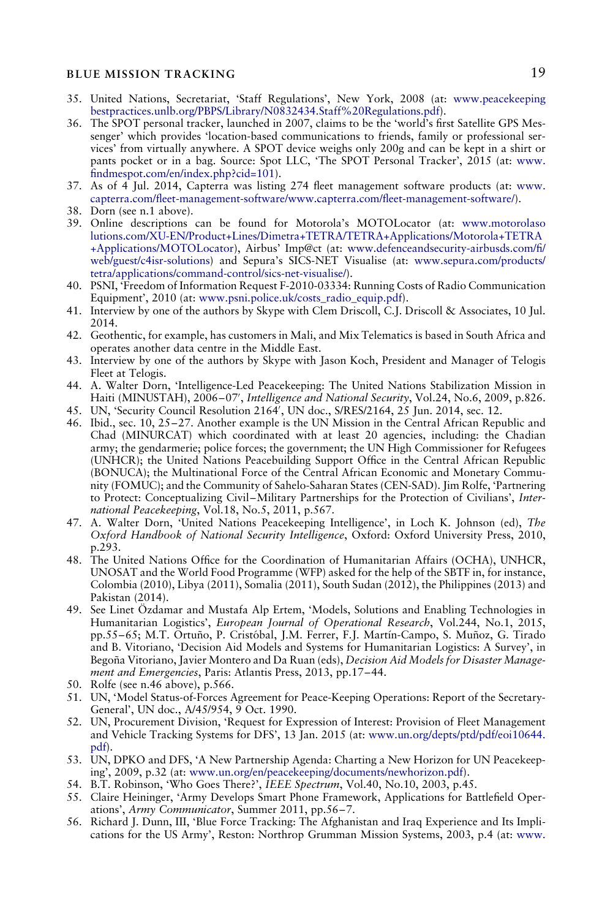- <span id="page-18-0"></span>35. United Nations, Secretariat, 'Staff Regulations', New York, 2008 (at: [www.peacekeeping](www.peacekeepingbestpractices.unlb.org/PBPS/Library/N0832434.Staff%20Regulations.pdf) [bestpractices.unlb.org/PBPS/Library/N0832434.Staff%20Regulations.pdf](www.peacekeepingbestpractices.unlb.org/PBPS/Library/N0832434.Staff%20Regulations.pdf)).
- 36. The SPOT personal tracker, launched in 2007, claims to be the 'world's first Satellite GPS Messenger' which provides 'location-based communications to friends, family or professional services' from virtually anywhere. A SPOT device weighs only 200g and can be kept in a shirt or pants pocket or in a bag. Source: Spot LLC, 'The SPOT Personal Tracker', 2015 (at: [www.](www.findmespot.com/en/index.php?cid=101) [findmespot.com/en/index.php?cid=101](www.findmespot.com/en/index.php?cid=101)).
- 37. As of 4 Jul. 2014, Capterra was listing 274 fleet management software products (at: [www.](www.capterra.com/fleet-management-software/www.capterra.com/fleet-management-software/) [capterra.com/fleet-management-software/www.capterra.com/fleet-management-software/\)](www.capterra.com/fleet-management-software/www.capterra.com/fleet-management-software/).
- 38. Dorn (see n.1 above).
- 39. Online descriptions can be found for Motorola's MOTOLocator (at: [www.motorolaso](www.motorolasolutions.com/XU-EN/Product+Lines/Dimetra+TETRA/TETRA+Applications/Motorola+TETRA+Applications/MOTOLocator) [lutions.com/XU-EN/Product+Lines/Dimetra+TETRA/TETRA+Applications/Motorola+TETRA](www.motorolasolutions.com/XU-EN/Product+Lines/Dimetra+TETRA/TETRA+Applications/Motorola+TETRA+Applications/MOTOLocator) [+Applications/MOTOLocator\)](www.motorolasolutions.com/XU-EN/Product+Lines/Dimetra+TETRA/TETRA+Applications/Motorola+TETRA+Applications/MOTOLocator), Airbus' Imp@ct (at: [www.defenceandsecurity-airbusds.com/fi/](www.defenceandsecurity-airbusds.com/fi/web/guest/c4isr-solutions) [web/guest/c4isr-solutions\)](www.defenceandsecurity-airbusds.com/fi/web/guest/c4isr-solutions) and Sepura's SICS-NET Visualise (at: [www.sepura.com/products/](www.sepura.com/products/tetra/applications/command-control/sics-net-visualise/) [tetra/applications/command-control/sics-net-visualise/\)](www.sepura.com/products/tetra/applications/command-control/sics-net-visualise/).
- 40. PSNI, 'Freedom of Information Request F-2010-03334: Running Costs of Radio Communication Equipment', 2010 (at: [www.psni.police.uk/costs\\_radio\\_equip.pdf](www.psni.police.uk/costs_radio_equip.pdf)).
- 41. Interview by one of the authors by Skype with Clem Driscoll, C.J. Driscoll & Associates, 10 Jul. 2014.
- 42. Geothentic, for example, has customers in Mali, and Mix Telematics is based in South Africa and operates another data centre in the Middle East.
- 43. Interview by one of the authors by Skype with Jason Koch, President and Manager of Telogis Fleet at Telogis.
- 44. A. Walter Dorn, 'Intelligence-Led Peacekeeping: The United Nations Stabilization Mission in Haiti (MINUSTAH), 2006–07′ , Intelligence and National Security, Vol.24, No.6, 2009, p.826.
- 45. UN, 'Security Council Resolution 2164′ , UN doc., S/RES/2164, 25 Jun. 2014, sec. 12.
- 46. Ibid., sec. 10, 25 –27. Another example is the UN Mission in the Central African Republic and Chad (MINURCAT) which coordinated with at least 20 agencies, including: the Chadian army; the gendarmerie; police forces; the government; the UN High Commissioner for Refugees (UNHCR); the United Nations Peacebuilding Support Office in the Central African Republic (BONUCA); the Multinational Force of the Central African Economic and Monetary Community (FOMUC); and the Community of Sahelo-Saharan States (CEN-SAD). Jim Rolfe, 'Partnering to Protect: Conceptualizing Civil-Military Partnerships for the Protection of Civilians', International Peacekeeping, Vol.18, No.5, 2011, p.567.
- 47. A. Walter Dorn, 'United Nations Peacekeeping Intelligence', in Loch K. Johnson (ed), The Oxford Handbook of National Security Intelligence, Oxford: Oxford University Press, 2010, p.293.
- 48. The United Nations Office for the Coordination of Humanitarian Affairs (OCHA), UNHCR, UNOSAT and the World Food Programme (WFP) asked for the help of the SBTF in, for instance, Colombia (2010), Libya (2011), Somalia (2011), South Sudan (2012), the Philippines (2013) and Pakistan (2014).
- 49. See Linet Özdamar and Mustafa Alp Ertem, 'Models, Solutions and Enabling Technologies in Humanitarian Logistics', European Journal of Operational Research, Vol.244, No.1, 2015, pp.55–65; M.T. Ortuño, P. Cristóbal, J.M. Ferrer, F.J. Martín-Campo, S. Muñoz, G. Tirado and B. Vitoriano, 'Decision Aid Models and Systems for Humanitarian Logistics: A Survey', in Begoña Vitoriano, Javier Montero and Da Ruan (eds), Decision Aid Models for Disaster Management and Emergencies, Paris: Atlantis Press, 2013, pp.17–44.
- 50. Rolfe (see n.46 above), p.566.
- 51. UN, 'Model Status-of-Forces Agreement for Peace-Keeping Operations: Report of the Secretary-General', UN doc., A/45/954, 9 Oct. 1990.
- 52. UN, Procurement Division, 'Request for Expression of Interest: Provision of Fleet Management and Vehicle Tracking Systems for DFS', 13 Jan. 2015 (at: [www.un.org/depts/ptd/pdf/eoi10644.](www.un.org/depts/ptd/pdf/eoi10644.pdf) [pdf\)](www.un.org/depts/ptd/pdf/eoi10644.pdf).
- 53. UN, DPKO and DFS, 'A New Partnership Agenda: Charting a New Horizon for UN Peacekeeping', 2009, p.32 (at: <www.un.org/en/peacekeeping/documents/newhorizon.pdf>).
- 54. B.T. Robinson, 'Who Goes There?', IEEE Spectrum, Vol.40, No.10, 2003, p.45.
- 55. Claire Heininger, 'Army Develops Smart Phone Framework, Applications for Battlefield Operations', Army Communicator, Summer 2011, pp.56–7.
- 56. Richard J. Dunn, III, 'Blue Force Tracking: The Afghanistan and Iraq Experience and Its Implications for the US Army', Reston: Northrop Grumman Mission Systems, 2003, p.4 (at: [www.](www.northropgrumman.com/aboutus/analysiscenter/documents/pdfs/bft-afghanistan-and-iraq-exper.pdf)